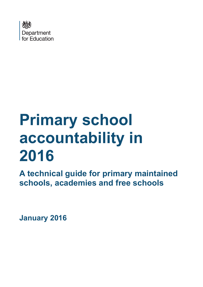

# **Primary school accountability in 2016**

**A technical guide for primary maintained schools, academies and free schools**

<span id="page-0-0"></span>**January 2016**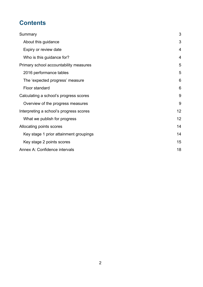# **Contents**

| Summary                                 | 3  |
|-----------------------------------------|----|
| About this guidance                     | 3  |
| Expiry or review date                   | 4  |
| Who is this guidance for?               | 4  |
| Primary school accountability measures  | 5  |
| 2016 performance tables                 | 5  |
| The 'expected progress' measure         | 6  |
| Floor standard                          | 6  |
| Calculating a school's progress scores  | 9  |
| Overview of the progress measures       | 9  |
| Interpreting a school's progress scores | 12 |
| What we publish for progress            | 12 |
| Allocating points scores                | 14 |
| Key stage 1 prior attainment groupings  | 14 |
| Key stage 2 points scores               | 15 |
| Annex A: Confidence intervals           | 18 |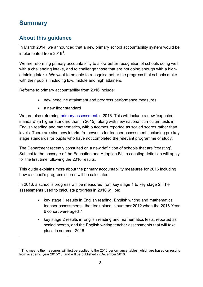# <span id="page-2-0"></span>**Summary**

 $\overline{a}$ 

# <span id="page-2-1"></span>**About this guidance**

In March 2014, we announced that a new primary school accountability system would be implemented from 20[1](#page-0-0)6<sup>1</sup>.

We are reforming primary accountability to allow better recognition of schools doing well with a challenging intake, and to challenge those that are not doing enough with a highattaining intake. We want to be able to recognise better the progress that schools make with their pupils, including low, middle and high attainers.

Reforms to primary accountability from 2016 include:

- new headline attainment and progress performance measures
- a new floor standard

We are also reforming [primary assessment](https://www.gov.uk/government/organisations/standards-and-testing-agency) in 2016. This will include a new 'expected standard' (a higher standard than in 2015), along with new national curriculum tests in English reading and mathematics, with outcomes reported as scaled scores rather than levels. There are also new interim frameworks for teacher assessment, including pre-key stage standards for pupils who have not completed the relevant programme of study.

The Department recently consulted on a new definition of schools that are 'coasting'. Subject to the passage of the Education and Adoption Bill, a coasting definition will apply for the first time following the 2016 results.

This guide explains more about the primary accountability measures for 2016 including how a school's progress scores will be calculated.

In 2016, a school's progress will be measured from key stage 1 to key stage 2. The assessments used to calculate progress in 2016 will be:

- key stage 1 results in English reading, English writing and mathematics teacher assessments, that took place in summer 2012 when the 2016 Year 6 cohort were aged 7
- key stage 2 results in English reading and mathematics tests, reported as scaled scores, and the English writing teacher assessments that will take place in summer 2016

<span id="page-2-2"></span> $<sup>1</sup>$  This means the measures will first be applied to the 2016 performance tables, which are based on results</sup> from academic year 2015/16, and will be published in December 2016.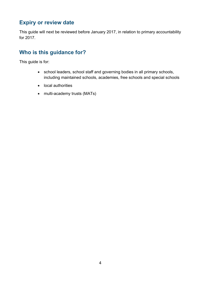## <span id="page-3-0"></span>**Expiry or review date**

This guide will next be reviewed before January 2017, in relation to primary accountability for 2017.

# <span id="page-3-1"></span>**Who is this guidance for?**

This guide is for:

- school leaders, school staff and governing bodies in all primary schools, including maintained schools, academies, free schools and special schools
- local authorities
- multi-academy trusts (MATs)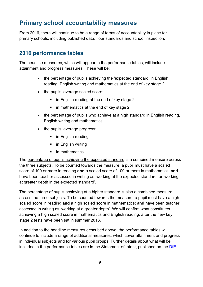# <span id="page-4-0"></span>**Primary school accountability measures**

From 2016, there will continue to be a range of forms of accountability in place for primary schools; including published data, floor standards and school inspection.

## <span id="page-4-1"></span>**2016 performance tables**

The headline measures, which will appear in the performance tables, will include attainment and progress measures. These will be:

- the percentage of pupils achieving the 'expected standard' in English reading, English writing and mathematics at the end of key stage 2
- the pupils' average scaled score:
	- in English reading at the end of key stage 2
	- in mathematics at the end of key stage 2
- the percentage of pupils who achieve at a high standard in English reading, English writing and mathematics
- the pupils' average progress:
	- in English reading
	- in English writing
	- **in mathematics**

The percentage of pupils achieving the expected standard is a combined measure across the three subjects. To be counted towards the measure, a pupil must have a scaled score of 100 or more in reading **and** a scaled score of 100 or more in mathematics; **and**  have been teacher assessed in writing as 'working at the expected standard' or 'working at greater depth in the expected standard'.

The percentage of pupils achieving at a higher standard is also a combined measure across the three subjects. To be counted towards the measure, a pupil must have a high scaled score in reading **and** a high scaled score in mathematics; **and** have been teacher assessed in writing as 'working at a greater depth'. We will confirm what constitutes achieving a high scaled score in mathematics and English reading, after the new key stage 2 tests have been sat in summer 2016.

In addition to the headline measures described above, the performance tables will continue to include a range of additional measures, which cover attainment and progress in individual subjects and for various pupil groups. Further details about what will be included in the performance tables are in the Statement of Intent, published on the  $\overline{DfE}$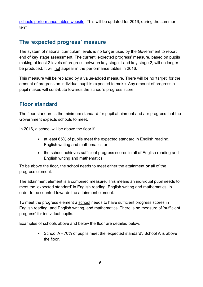[schools performance tables website.](http://www.education.gov.uk/schools/performance) This will be updated for 2016, during the summer term.

# <span id="page-5-0"></span>**The 'expected progress' measure**

The system of national curriculum levels is no longer used by the Government to report end of key stage assessment. The current 'expected progress' measure, based on pupils making at least 2 levels of progress between key stage 1 and key stage 2, will no longer be produced. It will not appear in the performance tables in 2016.

This measure will be replaced by a value-added measure. There will be no 'target' for the amount of progress an individual pupil is expected to make. Any amount of progress a pupil makes will contribute towards the school's progress score.

# <span id="page-5-1"></span>**Floor standard**

The floor standard is the minimum standard for pupil attainment and / or progress that the Government expects schools to meet.

In 2016, a school will be above the floor if:

- at least 65% of pupils meet the expected standard in English reading, English writing and mathematics or
- the school achieves sufficient progress scores in all of English reading and English writing and mathematics

To be above the floor, the school needs to meet either the attainment **or** all of the progress element.

The attainment element is a combined measure. This means an individual pupil needs to meet the 'expected standard' in English reading, English writing and mathematics, in order to be counted towards the attainment element.

To meet the progress element a school needs to have sufficient progress scores in English reading, and English writing, and mathematics. There is no measure of 'sufficient progress' for individual pupils.

Examples of schools above and below the floor are detailed below.

• School A - 70% of pupils meet the 'expected standard'. School A is above the floor.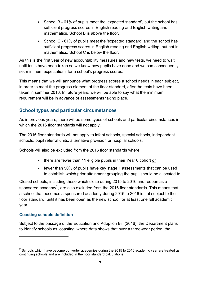- School B 61% of pupils meet the 'expected standard', but the school has sufficient progress scores in English reading and English writing and mathematics. School B is above the floor.
- School C 61% of pupils meet the 'expected standard' and the school has sufficient progress scores in English reading and English writing, but not in mathematics. School C is below the floor.

As this is the first year of new accountability measures and new tests, we need to wait until tests have been taken so we know how pupils have done and we can consequently set minimum expectations for a school's progress scores.

This means that we will announce what progress scores a school needs in each subject, in order to meet the progress element of the floor standard, after the tests have been taken in summer 2016. In future years, we will be able to say what the minimum requirement will be in advance of assessments taking place.

## **School types and particular circumstances**

As in previous years, there will be some types of schools and particular circumstances in which the 2016 floor standards will not apply.

The 2016 floor standards will not apply to infant schools, special schools, independent schools, pupil referral units, alternative provision or hospital schools.

Schools will also be excluded from the 2016 floor standards where:

- there are fewer than 11 eligible pupils in their Year 6 cohort or
- fewer than 50% of pupils have key stage 1 assessments that can be used to establish which prior attainment grouping the pupil should be allocated to

Closed schools, including those which close during 2015 to 2016 and reopen as a sponsored academy $^2$  $^2$ , are also excluded from the 2016 floor standards. This means that a school that becomes a sponsored academy during 2015 to 2016 is not subject to the floor standard, until it has been open as the new school for at least one full academic year.

## **Coasting schools definition**

 $\overline{a}$ 

Subject to the passage of the Education and Adoption Bill (2016), the Department plans to identify schools as 'coasting' where data shows that over a three-year period, the

<span id="page-6-0"></span> $2$  Schools which have become converter academies during the 2015 to 2016 academic year are treated as continuing schools and are included in the floor standard calculations.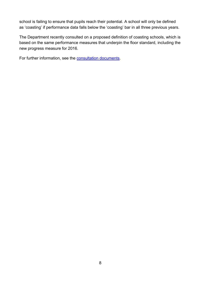school is failing to ensure that pupils reach their potential. A school will only be defined as 'coasting' if performance data falls below the 'coasting' bar in all three previous years.

The Department recently consulted on a proposed definition of coasting schools, which is based on the same performance measures that underpin the floor standard, including the new progress measure for 2016.

For further information, see the [consultation documents.](http://www.gov.uk/government/consultations/intervening-in-failing-underperforming-and-coasting-schools)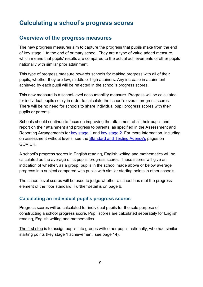# <span id="page-8-0"></span>**Calculating a school's progress scores**

## <span id="page-8-1"></span>**Overview of the progress measures**

The new progress measures aim to capture the progress that pupils make from the end of key stage 1 to the end of primary school. They are a type of value added measure, which means that pupils' results are compared to the actual achievements of other pupils nationally with similar prior attainment.

This type of progress measure rewards schools for making progress with all of their pupils, whether they are low, middle or high attainers. Any increase in attainment achieved by each pupil will be reflected in the school's progress scores.

This new measure is a school-level accountability measure. Progress will be calculated for individual pupils solely in order to calculate the school's overall progress scores. There will be no need for schools to share individual pupil progress scores with their pupils or parents.

Schools should continue to focus on improving the attainment of all their pupils and report on their attainment and progress to parents, as specified in the Assessment and Reporting Arrangements for [key stage 1](https://www.gov.uk/guidance/2016-key-stage-1-assessment-and-reporting-arrangements-ara) and [key stage 2.](https://www.gov.uk/guidance/2016-key-stage-2-assessment-and-reporting-arrangements-ara) For more information, including on assessment without levels, see the [Standard and Testing Agency's](https://www.gov.uk/government/organisations/standards-and-testing-agency) pages on GOV.UK.

A school's progress scores in English reading, English writing and mathematics will be calculated as the average of its pupils' progress scores. These scores will give an indication of whether, as a group, pupils in the school made above or below average progress in a subject compared with pupils with similar starting points in other schools.

The school level scores will be used to judge whether a school has met the progress element of the floor standard. Further detail is on page 6.

## **Calculating an individual pupil's progress scores**

Progress scores will be calculated for individual pupils for the sole purpose of constructing a school progress score. Pupil scores are calculated separately for English reading, English writing and mathematics.

The first step is to assign pupils into groups with other pupils nationally, who had similar starting points (key stage 1 achievement, see page 14).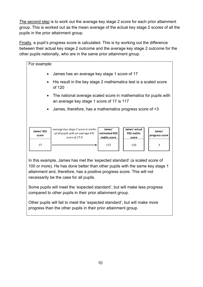The second step is to work out the average key stage 2 score for each prior attainment group. This is worked out as the mean average of the actual key stage 2 scores of all the pupils in the prior attainment group.

Finally, a pupil's progress score is calculated. This is by working out the difference between their actual key stage 2 outcome and the average key stage 2 outcome for the other pupils nationally, who are in the same prior attainment group.

| For example:                                                                                                                                                                     |                          |  |
|----------------------------------------------------------------------------------------------------------------------------------------------------------------------------------|--------------------------|--|
| James has an average key stage 1 score of 17                                                                                                                                     |                          |  |
| His result in the key stage 2 mathematics test is a scaled score<br>of 120                                                                                                       |                          |  |
| The national average scaled score in mathematics for pupils with<br>an average key stage 1 score of 17 is 117                                                                    |                          |  |
| James, therefore, has a mathematics progress score of +3                                                                                                                         |                          |  |
| James' actual<br>James'<br>average key stage 2 score in maths<br>of all pupils with an average KS1<br>estimated KS2<br><b>KS2 maths</b><br>score of 17.0<br>maths score<br>score | James'<br>progress score |  |
| 117<br>120                                                                                                                                                                       | 3                        |  |
| $\bullet$<br>$\bullet$<br>$\bullet$<br>$\bullet$                                                                                                                                 |                          |  |

In this example, James has met the 'expected standard' (a scaled score of 100 or more). He has done better than other pupils with the same key stage 1 attainment and, therefore, has a positive progress score. This will not necessarily be the case for all pupils.

Some pupils will meet the 'expected standard', but will make less progress compared to other pupils in their prior attainment group.

Other pupils will fail to meet the 'expected standard', but will make more progress than the other pupils in their prior attainment group.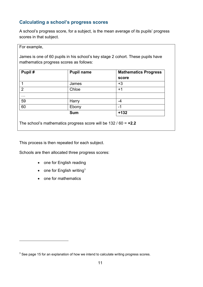## **Calculating a school's progress scores**

A school's progress score, for a subject, is the mean average of its pupils' progress scores in that subject.

#### For example,

 $\overline{a}$ 

James is one of 60 pupils in his school's key stage 2 cohort. These pupils have mathematics progress scores as follows:

| Pupil#         | <b>Pupil name</b> | <b>Mathematics Progress</b><br>score |
|----------------|-------------------|--------------------------------------|
|                | James             | $+3$                                 |
| $\overline{2}$ | Chloe             | $+1$                                 |
| $\cdots$       |                   |                                      |
| 59             | Harry             | -4                                   |
| 60             | Ebony             | -1                                   |
|                | <b>Sum</b>        | $+132$                               |

The school's mathematics progress score will be 132 / 60 = **+2.2**

This process is then repeated for each subject.

Schools are then allocated three progress scores:

- one for English reading
- one for English writing<sup>[3](#page-6-0)</sup>
- one for mathematics

<span id="page-10-0"></span> $3$  See page 15 for an explanation of how we intend to calculate writing progress scores.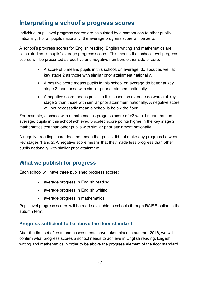# <span id="page-11-0"></span>**Interpreting a school's progress scores**

Individual pupil level progress scores are calculated by a comparison to other pupils nationally. For all pupils nationally, the average progress score will be zero.

A school's progress scores for English reading, English writing and mathematics are calculated as its pupils' average progress scores. This means that school level progress scores will be presented as positive and negative numbers either side of zero.

- A score of 0 means pupils in this school, on average, do about as well at key stage 2 as those with similar prior attainment nationally.
- A positive score means pupils in this school on average do better at key stage 2 than those with similar prior attainment nationally.
- A negative score means pupils in this school on average do worse at key stage 2 than those with similar prior attainment nationally. A negative score will not necessarily mean a school is below the floor.

For example, a school with a mathematics progress score of +3 would mean that, on average, pupils in this school achieved 3 scaled score points higher in the key stage 2 mathematics test than other pupils with similar prior attainment nationally.

A negative reading score does not mean that pupils did not make any progress between key stages 1 and 2. A negative score means that they made less progress than other pupils nationally with similar prior attainment.

## <span id="page-11-1"></span>**What we publish for progress**

Each school will have three published progress scores:

- average progress in English reading
- average progress in English writing
- average progress in mathematics

Pupil level progress scores will be made available to schools through RAISE online in the autumn term.

## **Progress sufficient to be above the floor standard**

After the first set of tests and assessments have taken place in summer 2016, we will confirm what progress scores a school needs to achieve in English reading, English writing and mathematics in order to be above the progress element of the floor standard.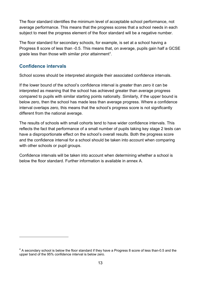The floor standard identifies the minimum level of acceptable school performance, not average performance. This means that the progress scores that a school needs in each subject to meet the progress element of the floor standard will be a negative number.

The floor standard for secondary schools, for example, is set at a school having a Progress 8 score of less than -0.5. This means that, on average, pupils gain half a GCSE grade less than those with similar prior attainment<sup>[4](#page-10-0)</sup>.

## **Confidence intervals**

 $\overline{a}$ 

School scores should be interpreted alongside their associated confidence intervals.

If the lower bound of the school's confidence interval is greater than zero it can be interpreted as meaning that the school has achieved greater than average progress compared to pupils with similar starting points nationally. Similarly, if the upper bound is below zero, then the school has made less than average progress. Where a confidence interval overlaps zero, this means that the school's progress score is not significantly different from the national average.

The results of schools with small cohorts tend to have wider confidence intervals. This reflects the fact that performance of a small number of pupils taking key stage 2 tests can have a disproportionate effect on the school's overall results. Both the progress score and the confidence interval for a school should be taken into account when comparing with other schools or pupil groups.

Confidence intervals will be taken into account when determining whether a school is below the floor standard. Further information is available in annex A.

 $4$  A secondary school is below the floor standard if they have a Progress 8 score of less than-0.5 and the upper band of the 95% confidence interval is below zero.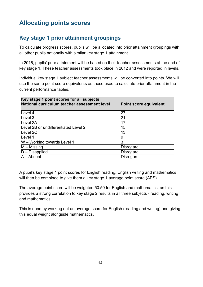# <span id="page-13-0"></span>**Allocating points scores**

# <span id="page-13-1"></span>**Key stage 1 prior attainment groupings**

To calculate progress scores, pupils will be allocated into prior attainment groupings with all other pupils nationally with similar key stage 1 attainment.

In 2016, pupils' prior attainment will be based on their teacher assessments at the end of key stage 1. These teacher assessments took place in 2012 and were reported in levels.

Individual key stage 1 subject teacher assessments will be converted into points. We will use the same point score equivalents as those used to calculate prior attainment in the current performance tables.

| Key stage 1 point scores for all subjects    |                        |  |
|----------------------------------------------|------------------------|--|
| National curriculum teacher assessment level | Point score equivalent |  |
| Level 4                                      | 27                     |  |
| Level 3                                      | 21                     |  |
| Level 2A                                     | 17                     |  |
| Level 2B or undifferentiated Level 2         | 15                     |  |
| Level 2C                                     | 13                     |  |
| Level 1                                      | 9                      |  |
| W - Working towards Level 1                  |                        |  |
| $M -$ Missing                                | Disregard              |  |
| $D$ – Disapplied                             | Disregard              |  |
| $A - Absent$                                 | Disregard              |  |

A pupil's key stage 1 point scores for English reading, English writing and mathematics will then be combined to give them a key stage 1 average point score (APS).

The average point score will be weighted 50:50 for English and mathematics, as this provides a strong correlation to key stage 2 results in all three subjects - reading, writing and mathematics.

This is done by working out an average score for English (reading and writing) and giving this equal weight alongside mathematics.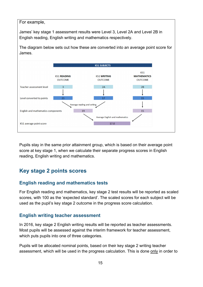#### For example,

James' key stage 1 assessment results were Level 3, Level 2A and Level 2B in English reading, English writing and mathematics respectively.



Pupils stay in the same prior attainment group, which is based on their average point score at key stage 1, when we calculate their separate progress scores in English reading, English writing and mathematics.

## <span id="page-14-0"></span>**Key stage 2 points scores**

#### **English reading and mathematics tests**

For English reading and mathematics, key stage 2 test results will be reported as scaled scores, with 100 as the 'expected standard'. The scaled scores for each subject will be used as the pupil's key stage 2 outcome in the progress score calculation.

#### **English writing teacher assessment**

In 2016, key stage 2 English writing results will be reported as teacher assessments. Most pupils will be assessed against the interim framework for teacher assessment, which puts pupils into one of three categories.

Pupils will be allocated nominal points, based on their key stage 2 writing teacher assessment, which will be used in the progress calculation. This is done only in order to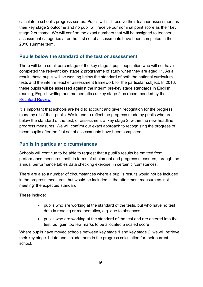calculate a school's progress scores. Pupils will still receive their teacher assessment as their key stage 2 outcome and no pupil will receive our nominal point score as their key stage 2 outcome. We will confirm the exact numbers that will be assigned to teacher assessment categories after the first set of assessments have been completed in the 2016 summer term.

## **Pupils below the standard of the test or assessment**

There will be a small percentage of the key stage 2 pupil population who will not have completed the relevant key stage 2 programme of study when they are aged 11. As a result, these pupils will be working below the standard of both the national curriculum tests and the interim teacher assessment framework for the particular subject. In 2016, these pupils will be assessed against the interim pre-key stage standards in English reading, English writing and mathematics at key stage 2 as recommended by the [Rochford Review.](https://www.gov.uk/government/publications/rochford-review-interim-recommendations)

It is important that schools are held to account and given recognition for the progress made by all of their pupils. We intend to reflect the progress made by pupils who are below the standard of the test, or assessment at key stage 2, within the new headline progress measures. We will confirm our exact approach to recognising the progress of these pupils after the first set of assessments have been completed.

## **Pupils in particular circumstances**

Schools will continue to be able to request that a pupil's results be omitted from performance measures, both in terms of attainment and progress measures, through the annual performance tables data checking exercise, in certain circumstances.

There are also a number of circumstances where a pupil's results would not be included in the progress measures, but would be included in the attainment measure as 'not meeting' the expected standard.

These include:

- pupils who are working at the standard of the tests, but who have no test data in reading or mathematics, e.g. due to absences
- pupils who are working at the standard of the test and are entered into the test, but gain too few marks to be allocated a scaled score

Where pupils have moved schools between key stage 1 and key stage 2, we will retrieve their key stage 1 data and include them in the progress calculation for their current school.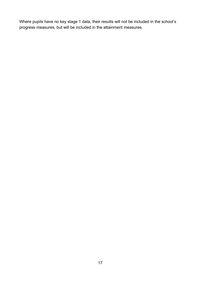Where pupils have no key stage 1 data, their results will not be included in the school's progress measures, but will be included in the attainment measures.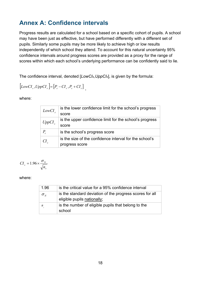# <span id="page-17-0"></span>**Annex A: Confidence intervals**

Progress results are calculated for a school based on a specific cohort of pupils. A school may have been just as effective, but have performed differently with a different set of pupils. Similarly some pupils may be more likely to achieve high or low results independently of which school they attend. To account for this natural uncertainty 95% confidence intervals around progress scores are provided as a proxy for the range of scores within which each school's underlying performance can be confidently said to lie.

The confidence interval, denoted [*LowCIs,UppCIs*], is given by the formula:

$$
[LowCIs, UppCIs]=[Ps - CIs, Ps + CIs],
$$

where:

| LowCI              | is the lower confidence limit for the school's progress |
|--------------------|---------------------------------------------------------|
|                    | score                                                   |
| UppCI <sub>s</sub> | is the upper confidence limit for the school's progress |
|                    | score                                                   |
| $P_{s}$            | is the school's progress score                          |
| СI                 | is the size of the confidence interval for the school's |
|                    | progress score                                          |

$$
CI_s = 1.96 \times \frac{\sigma_{N}}{\sqrt{n_s}}
$$

where:

| 1.96         | is the critical value for a 95% confidence interval                                     |
|--------------|-----------------------------------------------------------------------------------------|
| $\sigma_{N}$ | is the standard deviation of the progress scores for all<br>eligible pupils nationally; |
| n            | is the number of eligible pupils that belong to the<br>school                           |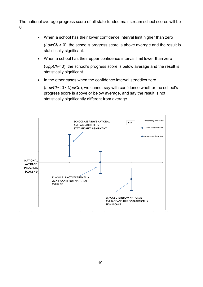The national average progress score of all state-funded mainstream school scores will be  $0:$ 

- When a school has their lower confidence interval limit higher than zero (*LowCIs* > 0), the school's progress score is above average and the result is statistically significant.
- When a school has their upper confidence interval limit lower than zero

(*UppCIs*< 0), the school's progress score is below average and the result is statistically significant.

• In the other cases when the confidence interval straddles zero

(*LowCIs*< 0 <*UppCIs*), we cannot say with confidence whether the school's progress score is above or below average, and say the result is not statistically significantly different from average.